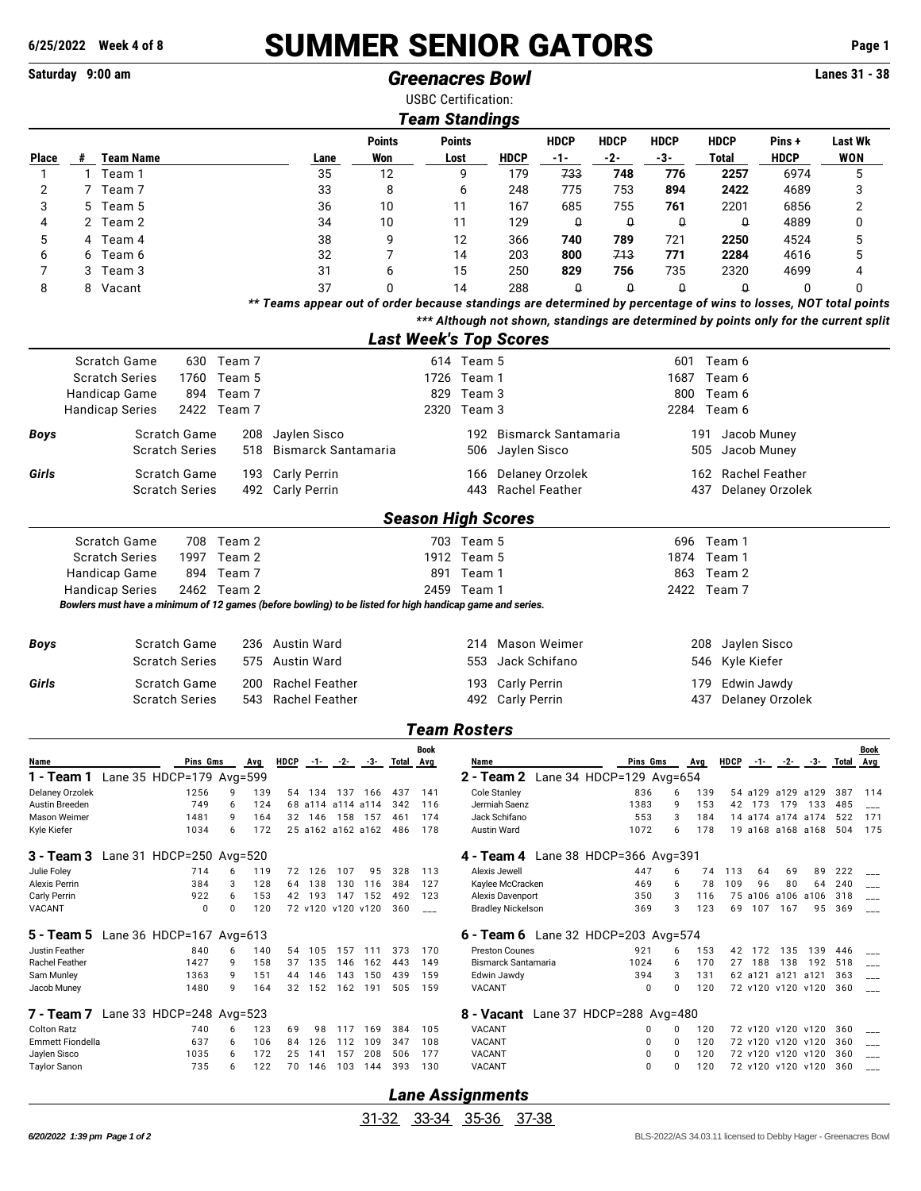## **6/25/2022 Week 4 of 8** SUMMER SENIOR GATORS **Page 1**

## **Saturday 9:00 am** *Greenacres Bowl* **Lanes 31 - 38**

USBC Certification:

|                                     | <b>Team Standings</b> |                                                                                                          |                       |            |            |                       |                  |                          |                |               |                               |                       |                                   |                            |                                                                                                                                                                                                          |                       |            |                       |          |                                            |          |                |            |
|-------------------------------------|-----------------------|----------------------------------------------------------------------------------------------------------|-----------------------|------------|------------|-----------------------|------------------|--------------------------|----------------|---------------|-------------------------------|-----------------------|-----------------------------------|----------------------------|----------------------------------------------------------------------------------------------------------------------------------------------------------------------------------------------------------|-----------------------|------------|-----------------------|----------|--------------------------------------------|----------|----------------|------------|
|                                     |                       |                                                                                                          |                       |            |            |                       |                  |                          | <b>Points</b>  |               |                               | <b>Points</b>         |                                   | <b>HDCP</b>                | <b>HDCP</b>                                                                                                                                                                                              | <b>HDCP</b>           |            | <b>HDCP</b>           |          | Pins+                                      |          | <b>Last Wk</b> |            |
| <b>Place</b>                        |                       | # Team Name                                                                                              |                       |            |            |                       | Lane             |                          | Won            |               |                               | Lost                  | <b>HDCP</b>                       | -1-                        | $-2-$                                                                                                                                                                                                    | -3-                   |            | Total                 |          | <b>HDCP</b>                                |          | <b>WON</b>     |            |
| 1                                   |                       | 1 Team 1                                                                                                 |                       |            |            |                       | 35               |                          |                | 12            |                               | 9                     | 179                               | 733                        | 748                                                                                                                                                                                                      | 776                   |            | 2257                  |          | 6974                                       |          | 5              |            |
| 2                                   |                       | 7 Team 7                                                                                                 |                       |            |            |                       | 33               |                          |                | 8             |                               | 6                     | 248                               | 775                        | 753                                                                                                                                                                                                      | 894                   |            | 2422                  |          | 4689                                       |          | 3              |            |
| 3                                   |                       | 5 Team 5                                                                                                 |                       |            |            |                       | 36               |                          |                | 10            |                               | 11                    | 167                               | 685                        | 755                                                                                                                                                                                                      | 761                   |            | 2201                  |          | 6856                                       |          | 2              |            |
| 4                                   |                       | 2 Team 2                                                                                                 |                       |            |            |                       | 34               |                          |                | 10            |                               | 11                    | 129                               | $\theta$                   | $\pmb{\mathsf{Q}}$                                                                                                                                                                                       | 0                     |            | $\theta$              |          | 4889                                       |          | 0              |            |
| 5                                   | 4                     | Team 4                                                                                                   |                       |            |            |                       | 38               |                          |                | 9             |                               | 12                    | 366                               | 740                        | 789                                                                                                                                                                                                      | 721                   |            | 2250                  |          | 4524                                       |          | 5              |            |
| 6                                   | 6                     | Team 6                                                                                                   |                       |            |            |                       | 32               |                          |                | 7             |                               | 14                    | 203                               | 800                        | 713                                                                                                                                                                                                      | 771                   |            | 2284                  |          | 4616                                       |          | 5              |            |
| 7                                   | 3                     | Team 3                                                                                                   |                       |            |            |                       | 31               |                          |                | 6             |                               | 15                    | 250                               | 829                        | 756                                                                                                                                                                                                      | 735                   |            | 2320                  |          | 4699                                       |          | 4              |            |
| 8                                   | 8                     | Vacant                                                                                                   |                       |            |            |                       | 37               |                          |                | 0             |                               | 14                    | 288                               | $\Omega$                   | $\theta$                                                                                                                                                                                                 | $\Omega$              |            | $\theta$              |          |                                            | 0        | 0              |            |
|                                     |                       |                                                                                                          |                       |            |            |                       |                  |                          |                |               |                               |                       |                                   |                            | ** Teams appear out of order because standings are determined by percentage of wins to losses, NOT total points<br>*** Although not shown, standings are determined by points only for the current split |                       |            |                       |          |                                            |          |                |            |
|                                     |                       |                                                                                                          |                       |            |            |                       |                  |                          |                |               |                               |                       |                                   |                            |                                                                                                                                                                                                          |                       |            |                       |          |                                            |          |                |            |
|                                     |                       |                                                                                                          |                       |            |            |                       |                  |                          |                |               | <b>Last Week's Top Scores</b> |                       |                                   |                            |                                                                                                                                                                                                          |                       |            |                       |          |                                            |          |                |            |
|                                     |                       | Scratch Game                                                                                             |                       | 630 Team 7 |            |                       |                  |                          |                |               |                               | 614 Team 5            |                                   |                            |                                                                                                                                                                                                          |                       |            | 601 Team 6            |          |                                            |          |                |            |
|                                     |                       | <b>Scratch Series</b>                                                                                    | 1760                  | Team 5     |            |                       |                  |                          |                |               |                               | 1726 Team 1           |                                   |                            |                                                                                                                                                                                                          | 1687                  |            | Team 6                |          |                                            |          |                |            |
|                                     |                       | Handicap Game                                                                                            | 894<br>2422 Team 7    | Team 7     |            |                       |                  |                          |                |               | 829                           | Team 3<br>2320 Team 3 |                                   |                            |                                                                                                                                                                                                          | 800                   |            | Team 6                |          |                                            |          |                |            |
|                                     |                       | <b>Handicap Series</b>                                                                                   |                       |            |            |                       |                  |                          |                |               |                               |                       |                                   |                            |                                                                                                                                                                                                          |                       |            | 2284 Team 6           |          |                                            |          |                |            |
| Boys                                |                       |                                                                                                          | Scratch Game          |            | 208        | Jaylen Sisco          |                  |                          |                |               |                               | 192                   |                                   | <b>Bismarck Santamaria</b> |                                                                                                                                                                                                          |                       | 191        | Jacob Muney           |          |                                            |          |                |            |
|                                     |                       |                                                                                                          | <b>Scratch Series</b> |            | 518        | Bismarck Santamaria   |                  |                          |                |               |                               | 506                   |                                   | Jaylen Sisco               |                                                                                                                                                                                                          |                       | 505        | Jacob Muney           |          |                                            |          |                |            |
| Girls                               |                       |                                                                                                          | Scratch Game          |            | 193        | <b>Carly Perrin</b>   |                  |                          |                |               |                               | 166                   |                                   | Delaney Orzolek            |                                                                                                                                                                                                          |                       | 162        | <b>Rachel Feather</b> |          |                                            |          |                |            |
|                                     |                       |                                                                                                          | <b>Scratch Series</b> |            | 492        | <b>Carly Perrin</b>   |                  |                          |                |               |                               | 443                   |                                   | <b>Rachel Feather</b>      |                                                                                                                                                                                                          |                       | 437        | Delaney Orzolek       |          |                                            |          |                |            |
|                                     |                       |                                                                                                          |                       |            |            |                       |                  |                          |                |               |                               |                       |                                   |                            |                                                                                                                                                                                                          |                       |            |                       |          |                                            |          |                |            |
|                                     |                       |                                                                                                          |                       |            |            |                       |                  |                          |                |               | <b>Season High Scores</b>     |                       |                                   |                            |                                                                                                                                                                                                          |                       |            |                       |          |                                            |          |                |            |
|                                     |                       | Scratch Game                                                                                             |                       | 708 Team 2 |            |                       |                  |                          |                |               |                               | 703 Team 5            |                                   |                            |                                                                                                                                                                                                          |                       |            | 696 Team 1            |          |                                            |          |                |            |
|                                     |                       | <b>Scratch Series</b>                                                                                    | 1997                  | Team 2     |            |                       |                  |                          |                |               |                               | 1912 Team 5           |                                   |                            |                                                                                                                                                                                                          | 1874                  |            | Team 1                |          |                                            |          |                |            |
|                                     |                       | Handicap Game                                                                                            | 894                   | Team 7     |            |                       |                  |                          |                |               |                               | 891 Team 1            |                                   |                            |                                                                                                                                                                                                          | 863                   |            | Team 2                |          |                                            |          |                |            |
|                                     |                       | <b>Handicap Series</b>                                                                                   | 2462 Team 2           |            |            |                       |                  |                          |                |               |                               | 2459 Team 1           |                                   |                            |                                                                                                                                                                                                          | 2422                  |            | Team 7                |          |                                            |          |                |            |
|                                     |                       | Bowlers must have a minimum of 12 games (before bowling) to be listed for high handicap game and series. |                       |            |            |                       |                  |                          |                |               |                               |                       |                                   |                            |                                                                                                                                                                                                          |                       |            |                       |          |                                            |          |                |            |
|                                     |                       |                                                                                                          |                       |            |            |                       |                  |                          |                |               |                               |                       |                                   |                            |                                                                                                                                                                                                          |                       |            |                       |          |                                            |          |                |            |
| <b>Boys</b>                         |                       |                                                                                                          | Scratch Game          |            |            | 236 Austin Ward       |                  |                          |                |               |                               | 214                   |                                   | Mason Weimer               |                                                                                                                                                                                                          |                       | 208        | Jaylen Sisco          |          |                                            |          |                |            |
|                                     |                       |                                                                                                          | <b>Scratch Series</b> |            | 575        | Austin Ward           |                  |                          |                |               |                               | 553                   |                                   | Jack Schifano              |                                                                                                                                                                                                          |                       | 546        | Kyle Kiefer           |          |                                            |          |                |            |
| Girls                               |                       |                                                                                                          | Scratch Game          |            | 200        | <b>Rachel Feather</b> |                  |                          |                |               |                               | 193                   |                                   | <b>Carly Perrin</b>        |                                                                                                                                                                                                          |                       | 179        | Edwin Jawdy           |          |                                            |          |                |            |
|                                     |                       |                                                                                                          | <b>Scratch Series</b> |            | 543        | <b>Rachel Feather</b> |                  |                          |                |               |                               |                       | 492 Carly Perrin                  |                            |                                                                                                                                                                                                          |                       | 437        | Delaney Orzolek       |          |                                            |          |                |            |
|                                     |                       |                                                                                                          |                       |            |            |                       |                  |                          |                |               |                               |                       |                                   |                            |                                                                                                                                                                                                          |                       |            |                       |          |                                            |          |                |            |
|                                     |                       |                                                                                                          |                       |            |            |                       |                  |                          |                |               | <b>Team Rosters</b>           |                       |                                   |                            |                                                                                                                                                                                                          |                       |            |                       |          |                                            |          |                |            |
| Name                                |                       |                                                                                                          | Pins Gms              |            | <b>Avg</b> | HDCP                  |                  | $-1 - 2$                 |                | -3- Total Avg | <b>Book</b>                   | Name                  |                                   |                            |                                                                                                                                                                                                          | Pins Gms              | <b>Avg</b> | <b>HDCP</b>           | $-1-$    | $-2-$                                      |          | -3- Total Avg  | Book       |
|                                     |                       | 1 - Team 1 Lane 35 HDCP=179 Avg=599                                                                      |                       |            |            |                       |                  |                          |                |               |                               |                       |                                   |                            | 2 - Team 2 Lane 34 HDCP=129 Avg=654                                                                                                                                                                      |                       |            |                       |          |                                            |          |                |            |
| Delaney Orzolek                     |                       |                                                                                                          | 1256                  | 9          | 139        | 54                    | 134              |                          | 137 166        | 437           | 141                           |                       | <b>Cole Stanley</b>               |                            |                                                                                                                                                                                                          | 836<br>6              | 139        |                       |          | 54 a129 a129 a129                          |          | 387            | 114        |
| Austin Breeden                      |                       |                                                                                                          | 749                   | 6          | 124        |                       |                  | 68 a114 a114 a114        |                | 342           | 116                           |                       | Jermiah Saenz                     |                            |                                                                                                                                                                                                          | 1383<br>9             | 153        |                       | 42 173   | 179                                        | 133      | 485            | $---$      |
| Mason Weimer<br>Kyle Kiefer         |                       |                                                                                                          | 1481<br>1034          | 9<br>6     | 164<br>172 | 32                    | 146              | 158<br>25 a162 a162 a162 | 157            | 461<br>486    | 174<br>178                    |                       | Jack Schifano<br>Austin Ward      |                            |                                                                                                                                                                                                          | 553<br>3<br>1072<br>6 | 184<br>178 |                       |          | 14 a174 a174 a174<br>19 a168 a168 a168     |          | 522<br>504     | 171<br>175 |
|                                     |                       |                                                                                                          |                       |            |            |                       |                  |                          |                |               |                               |                       |                                   |                            |                                                                                                                                                                                                          |                       |            |                       |          |                                            |          |                |            |
| 3 - Team 3                          |                       | Lane 31 HDCP=250 Avg=520                                                                                 |                       |            |            |                       |                  |                          |                |               |                               |                       |                                   |                            | 4 - Team 4 Lane 38 HDCP=366 Avg=391                                                                                                                                                                      |                       |            |                       |          |                                            |          |                |            |
| Julie Foley<br><b>Alexis Perrin</b> |                       |                                                                                                          | 714<br>384            | 6<br>3     | 119<br>128 |                       | 72 126<br>64 138 | 107<br>130               | 95<br>116      | 328<br>384    | 113<br>127                    |                       | Alexis Jewell<br>Kaylee McCracken |                            |                                                                                                                                                                                                          | 447<br>6<br>469<br>6  | 74<br>78   | 113<br>109            | 64<br>96 | 69<br>80                                   | 89<br>64 | 222<br>240     |            |
| Carly Perrin                        |                       |                                                                                                          | 922                   | 6          | 153        | 42                    | 193              |                          | 147 152        | 492           | 123                           |                       | Alexis Davenport                  |                            |                                                                                                                                                                                                          | 350<br>3              | 116        |                       |          | 75 a106 a106 a106                          |          | 318            | $---$      |
| VACANT                              |                       |                                                                                                          | $\mathbf 0$           | $\Omega$   | 120        |                       |                  | 72 v120 v120 v120        |                | 360           | $\overline{a}$                |                       | <b>Bradley Nickelson</b>          |                            |                                                                                                                                                                                                          | 369<br>3              | 123        | 69                    | 107      | 167                                        |          | 95 369         |            |
|                                     |                       | Lane 36 HDCP=167 Avg=613                                                                                 |                       |            |            |                       |                  |                          |                |               |                               |                       |                                   |                            |                                                                                                                                                                                                          |                       |            |                       |          |                                            |          |                |            |
| 5 - Team 5<br>Justin Feather        |                       |                                                                                                          | 840                   | 6          | 140        |                       | 54 105           | 157                      | 111            | 373           | 170                           |                       | <b>Preston Counes</b>             |                            | <b>6 - Team 6</b> Lane 32 HDCP=203 Avg=574                                                                                                                                                               | 921<br>6              | 153        |                       | 42 172   | 135                                        | 139 446  |                |            |
| Rachel Feather                      |                       |                                                                                                          | 1427                  | 9          | 158        | 37                    | 135              | 146                      | 162            | 443           | 149                           |                       | Bismarck Santamaria               |                            | 1024                                                                                                                                                                                                     | 6                     | 170        | 27                    | 188      | 138                                        | 192 518  |                | $-$        |
| Sam Munley                          |                       |                                                                                                          | 1363                  | 9          | 151        | 44                    | 146              | 143                      | 150            | 439           | 159                           |                       | Edwin Jawdy                       |                            |                                                                                                                                                                                                          | 394<br>3              | 131        |                       |          | 62 a121 a121 a121                          |          | 363            |            |
| Jacob Muney                         |                       |                                                                                                          | 1480                  | 9          | 164        | 32                    | 152              | 162 191                  |                | 505           | 159                           | VACANT                |                                   |                            |                                                                                                                                                                                                          | 0<br>$\Omega$         | 120        |                       |          | 72 v120 v120 v120                          |          | 360            | $---$      |
| 7 - Team 7                          |                       | Lane 33 HDCP=248                                                                                         |                       | Avg= $523$ |            |                       |                  |                          |                |               |                               |                       |                                   |                            | <b>8 - Vacant</b> Lane 37 HDCP=288 Avg=480                                                                                                                                                               |                       |            |                       |          |                                            |          |                |            |
| <b>Colton Ratz</b>                  |                       |                                                                                                          | 740                   | 6          | 123        | 69                    | 98               | 117                      | 169            | 384           | 105                           | VACANT                |                                   |                            |                                                                                                                                                                                                          | 0<br>0                | 120        |                       |          | 72 v120 v120 v120 360                      |          |                |            |
|                                     | Emmett Fiondella      |                                                                                                          | 637                   | 6          | 106        | 84                    | 126              | 112                      | 109            | 347           | 108                           | VACANT                |                                   |                            |                                                                                                                                                                                                          | 0<br>0                | 120        |                       |          | 72 v120 v120 v120                          |          | 360            | $---$      |
| Jaylen Sisco<br><b>Taylor Sanon</b> |                       |                                                                                                          | 1035<br>735           | 6<br>6     | 172<br>122 | 25                    | 141<br>70 146    | 157                      | 208<br>103 144 | 506<br>393    | 177<br>130                    | VACANT<br>VACANT      |                                   |                            |                                                                                                                                                                                                          | 0<br>0<br>0<br>0      | 120<br>120 |                       |          | 72 v120 v120 v120<br>72 v120 v120 v120 360 |          | 360            |            |
|                                     |                       |                                                                                                          |                       |            |            |                       |                  |                          |                |               |                               |                       |                                   |                            |                                                                                                                                                                                                          |                       |            |                       |          |                                            |          |                | $---$      |

*Lane Assignments*

31-32 33-34 35-36 37-38

**6/20/2022 1:39 pm Page 1 of 2 blog 2020 2:39 pm Page 1 of 2 blog 2020 blog 2:40 and 2:40 and 2:40 and 2:40 and 2:40 and 2:40 and 2:40 and 2:40 and 2:40 and 2:40 and 2:40 and 2:40 and 2:40 and 2:40 and 2:40 and 2:40**